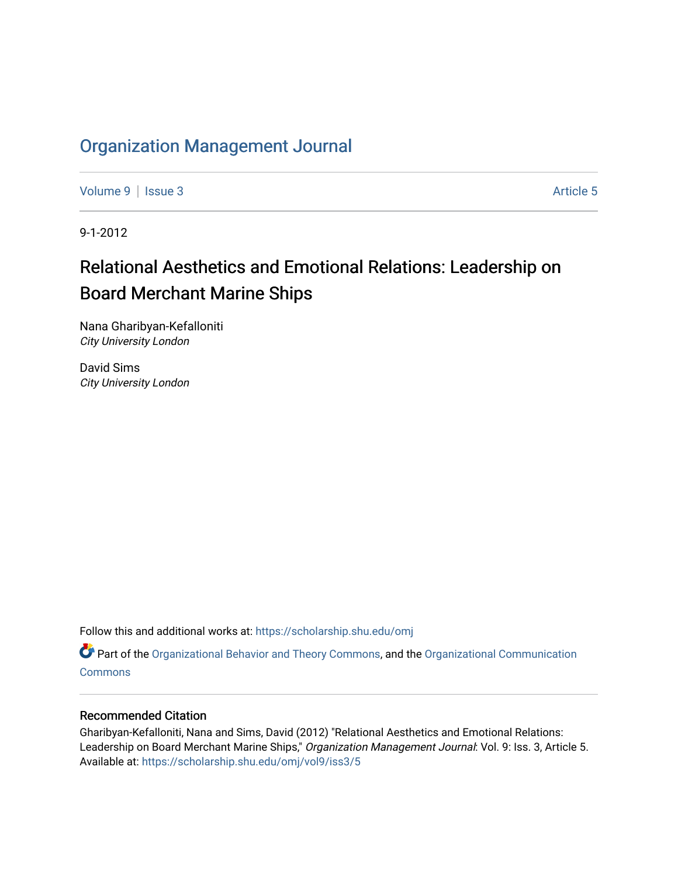## [Organization Management Journal](https://scholarship.shu.edu/omj)

[Volume 9](https://scholarship.shu.edu/omj/vol9) | [Issue 3](https://scholarship.shu.edu/omj/vol9/iss3) Article 5

9-1-2012

# Relational Aesthetics and Emotional Relations: Leadership on Board Merchant Marine Ships

Nana Gharibyan-Kefalloniti City University London

David Sims City University London

Follow this and additional works at: [https://scholarship.shu.edu/omj](https://scholarship.shu.edu/omj?utm_source=scholarship.shu.edu%2Fomj%2Fvol9%2Fiss3%2F5&utm_medium=PDF&utm_campaign=PDFCoverPages) 

Part of the [Organizational Behavior and Theory Commons,](http://network.bepress.com/hgg/discipline/639?utm_source=scholarship.shu.edu%2Fomj%2Fvol9%2Fiss3%2F5&utm_medium=PDF&utm_campaign=PDFCoverPages) and the [Organizational Communication](http://network.bepress.com/hgg/discipline/335?utm_source=scholarship.shu.edu%2Fomj%2Fvol9%2Fiss3%2F5&utm_medium=PDF&utm_campaign=PDFCoverPages) **[Commons](http://network.bepress.com/hgg/discipline/335?utm_source=scholarship.shu.edu%2Fomj%2Fvol9%2Fiss3%2F5&utm_medium=PDF&utm_campaign=PDFCoverPages)** 

### Recommended Citation

Gharibyan-Kefalloniti, Nana and Sims, David (2012) "Relational Aesthetics and Emotional Relations: Leadership on Board Merchant Marine Ships," Organization Management Journal: Vol. 9: Iss. 3, Article 5. Available at: [https://scholarship.shu.edu/omj/vol9/iss3/5](https://scholarship.shu.edu/omj/vol9/iss3/5?utm_source=scholarship.shu.edu%2Fomj%2Fvol9%2Fiss3%2F5&utm_medium=PDF&utm_campaign=PDFCoverPages)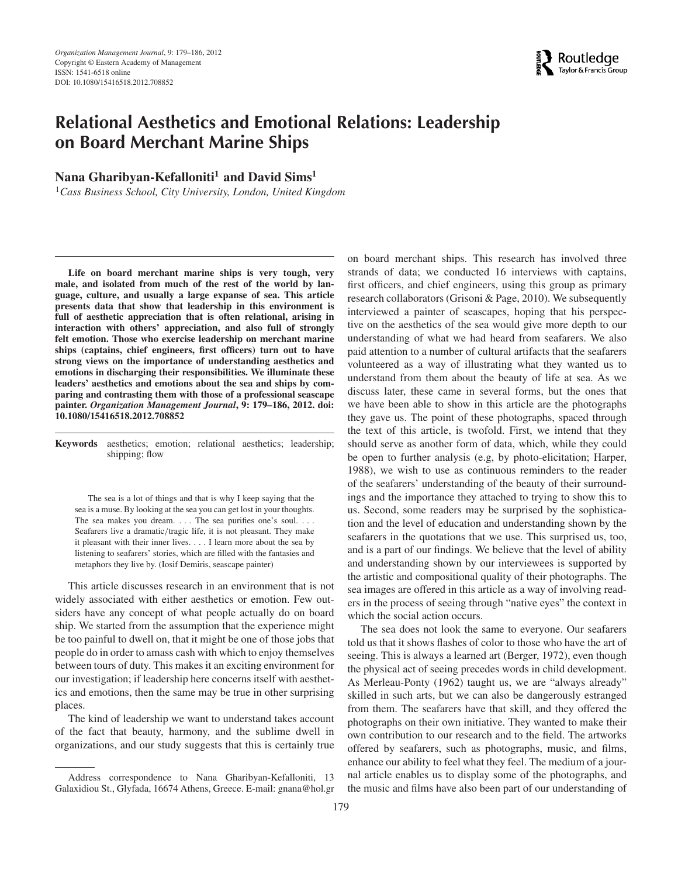

## **Relational Aesthetics and Emotional Relations: Leadership on Board Merchant Marine Ships**

Nana Gharibyan-Kefalloniti<sup>1</sup> and David Sims<sup>1</sup>

<sup>1</sup>*Cass Business School, City University, London, United Kingdom*

**Life on board merchant marine ships is very tough, very male, and isolated from much of the rest of the world by language, culture, and usually a large expanse of sea. This article presents data that show that leadership in this environment is full of aesthetic appreciation that is often relational, arising in interaction with others' appreciation, and also full of strongly felt emotion. Those who exercise leadership on merchant marine ships (captains, chief engineers, first officers) turn out to have strong views on the importance of understanding aesthetics and emotions in discharging their responsibilities. We illuminate these leaders' aesthetics and emotions about the sea and ships by comparing and contrasting them with those of a professional seascape painter.** *Organization Management Journal***, 9: 179–186, 2012. doi: 10.1080/15416518.2012.708852**

**Keywords** aesthetics; emotion; relational aesthetics; leadership; shipping; flow

The sea is a lot of things and that is why I keep saying that the sea is a muse. By looking at the sea you can get lost in your thoughts. The sea makes you dream. *...* The sea purifies one's soul. *...* Seafarers live a dramatic*/*tragic life, it is not pleasant. They make it pleasant with their inner lives. *...* I learn more about the sea by listening to seafarers' stories, which are filled with the fantasies and metaphors they live by. (Iosif Demiris, seascape painter)

This article discusses research in an environment that is not widely associated with either aesthetics or emotion. Few outsiders have any concept of what people actually do on board ship. We started from the assumption that the experience might be too painful to dwell on, that it might be one of those jobs that people do in order to amass cash with which to enjoy themselves between tours of duty. This makes it an exciting environment for our investigation; if leadership here concerns itself with aesthetics and emotions, then the same may be true in other surprising places.

The kind of leadership we want to understand takes account of the fact that beauty, harmony, and the sublime dwell in organizations, and our study suggests that this is certainly true on board merchant ships. This research has involved three strands of data; we conducted 16 interviews with captains, first officers, and chief engineers, using this group as primary research collaborators (Grisoni & Page, 2010). We subsequently interviewed a painter of seascapes, hoping that his perspective on the aesthetics of the sea would give more depth to our understanding of what we had heard from seafarers. We also paid attention to a number of cultural artifacts that the seafarers volunteered as a way of illustrating what they wanted us to understand from them about the beauty of life at sea. As we discuss later, these came in several forms, but the ones that we have been able to show in this article are the photographs they gave us. The point of these photographs, spaced through the text of this article, is twofold. First, we intend that they should serve as another form of data, which, while they could be open to further analysis (e.g, by photo-elicitation; Harper, 1988), we wish to use as continuous reminders to the reader of the seafarers' understanding of the beauty of their surroundings and the importance they attached to trying to show this to us. Second, some readers may be surprised by the sophistication and the level of education and understanding shown by the seafarers in the quotations that we use. This surprised us, too, and is a part of our findings. We believe that the level of ability and understanding shown by our interviewees is supported by the artistic and compositional quality of their photographs. The sea images are offered in this article as a way of involving readers in the process of seeing through "native eyes" the context in which the social action occurs.

The sea does not look the same to everyone. Our seafarers told us that it shows flashes of color to those who have the art of seeing. This is always a learned art (Berger, 1972), even though the physical act of seeing precedes words in child development. As Merleau-Ponty (1962) taught us, we are "always already" skilled in such arts, but we can also be dangerously estranged from them. The seafarers have that skill, and they offered the photographs on their own initiative. They wanted to make their own contribution to our research and to the field. The artworks offered by seafarers, such as photographs, music, and films, enhance our ability to feel what they feel. The medium of a journal article enables us to display some of the photographs, and the music and films have also been part of our understanding of

Address correspondence to Nana Gharibyan-Kefalloniti, 13 Galaxidiou St., Glyfada, 16674 Athens, Greece. E-mail: gnana@hol.gr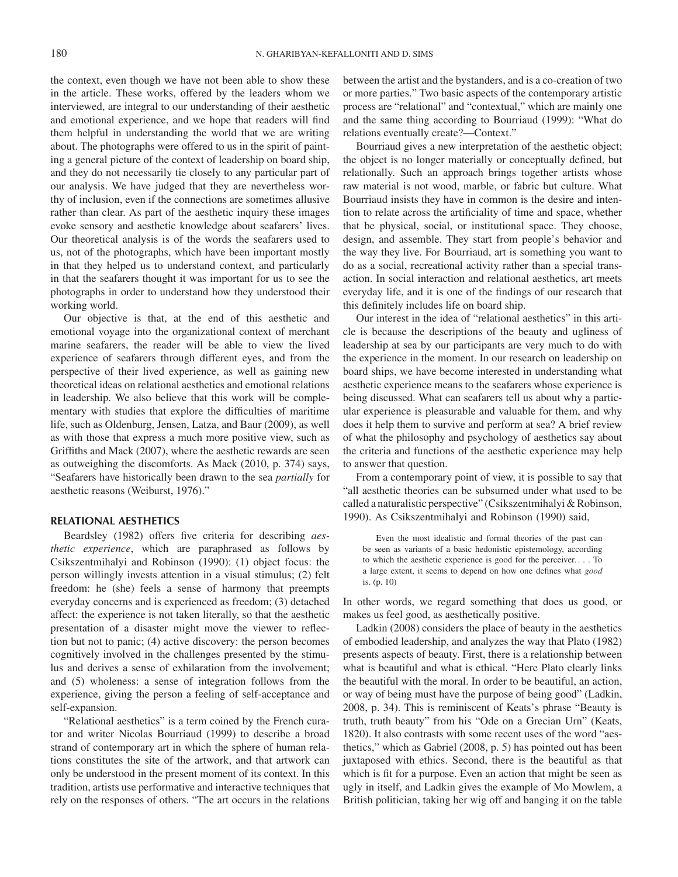the context, even though we have not been able to show these in the article. These works, offered by the leaders whom we interviewed, are integral to our understanding of their aesthetic and emotional experience, and we hope that readers will find them helpful in understanding the world that we are writing about. The photographs were offered to us in the spirit of painting a general picture of the context of leadership on board ship, and they do not necessarily tie closely to any particular part of our analysis. We have judged that they are nevertheless worthy of inclusion, even if the connections are sometimes allusive rather than clear. As part of the aesthetic inquiry these images evoke sensory and aesthetic knowledge about seafarers' lives. Our theoretical analysis is of the words the seafarers used to us, not of the photographs, which have been important mostly in that they helped us to understand context, and particularly in that the seafarers thought it was important for us to see the photographs in order to understand how they understood their working world.

Our objective is that, at the end of this aesthetic and emotional voyage into the organizational context of merchant marine seafarers, the reader will be able to view the lived experience of seafarers through different eyes, and from the perspective of their lived experience, as well as gaining new theoretical ideas on relational aesthetics and emotional relations in leadership. We also believe that this work will be complementary with studies that explore the difficulties of maritime life, such as Oldenburg, Jensen, Latza, and Baur (2009), as well as with those that express a much more positive view, such as Griffiths and Mack (2007), where the aesthetic rewards are seen as outweighing the discomforts. As Mack (2010, p. 374) says, "Seafarers have historically been drawn to the sea *partially* for aesthetic reasons (Weiburst, 1976)."

#### **RELATIONAL AESTHETICS**

Beardsley (1982) offers five criteria for describing *aesthetic experience*, which are paraphrased as follows by Csikszentmihalyi and Robinson (1990): (1) object focus: the person willingly invests attention in a visual stimulus; (2) felt freedom: he (she) feels a sense of harmony that preempts everyday concerns and is experienced as freedom; (3) detached affect: the experience is not taken literally, so that the aesthetic presentation of a disaster might move the viewer to reflection but not to panic; (4) active discovery: the person becomes cognitively involved in the challenges presented by the stimulus and derives a sense of exhilaration from the involvement; and (5) wholeness: a sense of integration follows from the experience, giving the person a feeling of self-acceptance and self-expansion.

"Relational aesthetics" is a term coined by the French curator and writer Nicolas Bourriaud (1999) to describe a broad strand of contemporary art in which the sphere of human relations constitutes the site of the artwork, and that artwork can only be understood in the present moment of its context. In this tradition, artists use performative and interactive techniques that rely on the responses of others. "The art occurs in the relations

between the artist and the bystanders, and is a co-creation of two or more parties." Two basic aspects of the contemporary artistic process are "relational" and "contextual," which are mainly one and the same thing according to Bourriaud (1999): "What do relations eventually create?—Context."

Bourriaud gives a new interpretation of the aesthetic object; the object is no longer materially or conceptually defined, but relationally. Such an approach brings together artists whose raw material is not wood, marble, or fabric but culture. What Bourriaud insists they have in common is the desire and intention to relate across the artificiality of time and space, whether that be physical, social, or institutional space. They choose, design, and assemble. They start from people's behavior and the way they live. For Bourriaud, art is something you want to do as a social, recreational activity rather than a special transaction. In social interaction and relational aesthetics, art meets everyday life, and it is one of the findings of our research that this definitely includes life on board ship.

Our interest in the idea of "relational aesthetics" in this article is because the descriptions of the beauty and ugliness of leadership at sea by our participants are very much to do with the experience in the moment. In our research on leadership on board ships, we have become interested in understanding what aesthetic experience means to the seafarers whose experience is being discussed. What can seafarers tell us about why a particular experience is pleasurable and valuable for them, and why does it help them to survive and perform at sea? A brief review of what the philosophy and psychology of aesthetics say about the criteria and functions of the aesthetic experience may help to answer that question.

From a contemporary point of view, it is possible to say that "all aesthetic theories can be subsumed under what used to be called a naturalistic perspective" (Csikszentmihalyi & Robinson, 1990). As Csikszentmihalyi and Robinson (1990) said,

Even the most idealistic and formal theories of the past can be seen as variants of a basic hedonistic epistemology, according to which the aesthetic experience is good for the perceiver. *...* To a large extent, it seems to depend on how one defines what *good* is. (p. 10)

In other words, we regard something that does us good, or makes us feel good, as aesthetically positive.

Ladkin (2008) considers the place of beauty in the aesthetics of embodied leadership, and analyzes the way that Plato (1982) presents aspects of beauty. First, there is a relationship between what is beautiful and what is ethical. "Here Plato clearly links the beautiful with the moral. In order to be beautiful, an action, or way of being must have the purpose of being good" (Ladkin, 2008, p. 34). This is reminiscent of Keats's phrase "Beauty is truth, truth beauty" from his "Ode on a Grecian Urn" (Keats, 1820). It also contrasts with some recent uses of the word "aesthetics," which as Gabriel (2008, p. 5) has pointed out has been juxtaposed with ethics. Second, there is the beautiful as that which is fit for a purpose. Even an action that might be seen as ugly in itself, and Ladkin gives the example of Mo Mowlem, a British politician, taking her wig off and banging it on the table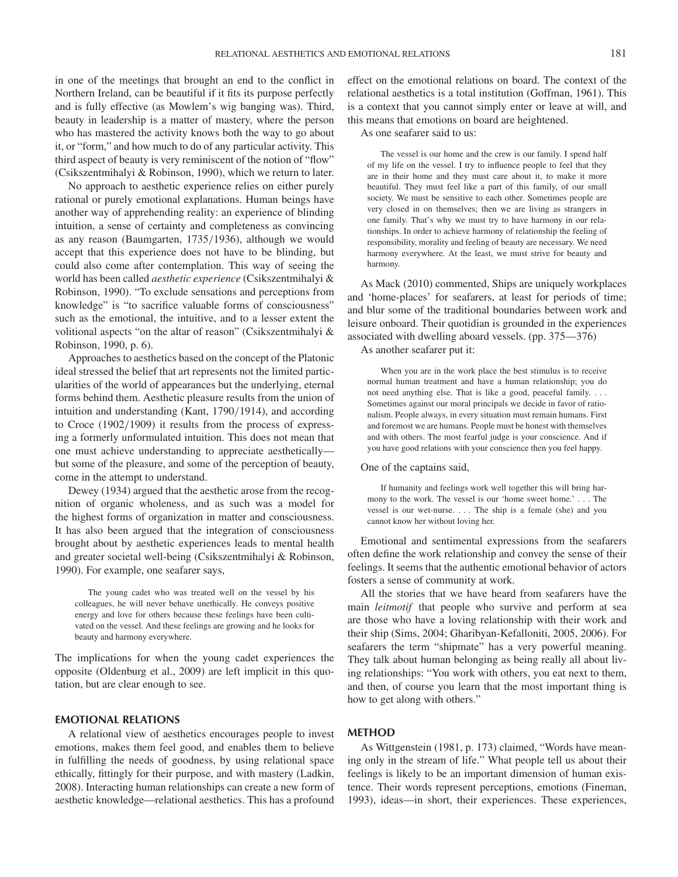in one of the meetings that brought an end to the conflict in Northern Ireland, can be beautiful if it fits its purpose perfectly and is fully effective (as Mowlem's wig banging was). Third, beauty in leadership is a matter of mastery, where the person who has mastered the activity knows both the way to go about it, or "form," and how much to do of any particular activity. This third aspect of beauty is very reminiscent of the notion of "flow" (Csikszentmihalyi & Robinson, 1990), which we return to later.

No approach to aesthetic experience relies on either purely rational or purely emotional explanations. Human beings have another way of apprehending reality: an experience of blinding intuition, a sense of certainty and completeness as convincing as any reason (Baumgarten, 1735*/*1936), although we would accept that this experience does not have to be blinding, but could also come after contemplation. This way of seeing the world has been called *aesthetic experience* (Csikszentmihalyi & Robinson, 1990). "To exclude sensations and perceptions from knowledge" is "to sacrifice valuable forms of consciousness" such as the emotional, the intuitive, and to a lesser extent the volitional aspects "on the altar of reason" (Csikszentmihalyi & Robinson, 1990, p. 6).

Approaches to aesthetics based on the concept of the Platonic ideal stressed the belief that art represents not the limited particularities of the world of appearances but the underlying, eternal forms behind them. Aesthetic pleasure results from the union of intuition and understanding (Kant, 1790*/*1914), and according to Croce (1902*/*1909) it results from the process of expressing a formerly unformulated intuition. This does not mean that one must achieve understanding to appreciate aesthetically but some of the pleasure, and some of the perception of beauty, come in the attempt to understand.

Dewey (1934) argued that the aesthetic arose from the recognition of organic wholeness, and as such was a model for the highest forms of organization in matter and consciousness. It has also been argued that the integration of consciousness brought about by aesthetic experiences leads to mental health and greater societal well-being (Csikszentmihalyi & Robinson, 1990). For example, one seafarer says,

The young cadet who was treated well on the vessel by his colleagues, he will never behave unethically. He conveys positive energy and love for others because these feelings have been cultivated on the vessel. And these feelings are growing and he looks for beauty and harmony everywhere.

The implications for when the young cadet experiences the opposite (Oldenburg et al., 2009) are left implicit in this quotation, but are clear enough to see.

#### **EMOTIONAL RELATIONS**

A relational view of aesthetics encourages people to invest emotions, makes them feel good, and enables them to believe in fulfilling the needs of goodness, by using relational space ethically, fittingly for their purpose, and with mastery (Ladkin, 2008). Interacting human relationships can create a new form of aesthetic knowledge—relational aesthetics. This has a profound effect on the emotional relations on board. The context of the relational aesthetics is a total institution (Goffman, 1961). This is a context that you cannot simply enter or leave at will, and this means that emotions on board are heightened.

As one seafarer said to us:

The vessel is our home and the crew is our family. I spend half of my life on the vessel. I try to influence people to feel that they are in their home and they must care about it, to make it more beautiful. They must feel like a part of this family, of our small society. We must be sensitive to each other. Sometimes people are very closed in on themselves; then we are living as strangers in one family. That's why we must try to have harmony in our relationships. In order to achieve harmony of relationship the feeling of responsibility, morality and feeling of beauty are necessary. We need harmony everywhere. At the least, we must strive for beauty and harmony.

As Mack (2010) commented, Ships are uniquely workplaces and 'home-places' for seafarers, at least for periods of time; and blur some of the traditional boundaries between work and leisure onboard. Their quotidian is grounded in the experiences associated with dwelling aboard vessels. (pp. 375––376)

As another seafarer put it:

When you are in the work place the best stimulus is to receive normal human treatment and have a human relationship; you do not need anything else. That is like a good, peaceful family. *...* Sometimes against our moral principals we decide in favor of rationalism. People always, in every situation must remain humans. First and foremost we are humans. People must be honest with themselves and with others. The most fearful judge is your conscience. And if you have good relations with your conscience then you feel happy.

One of the captains said,

If humanity and feelings work well together this will bring harmony to the work. The vessel is our 'home sweet home.' *...* The vessel is our wet-nurse. *...* The ship is a female (she) and you cannot know her without loving her.

Emotional and sentimental expressions from the seafarers often define the work relationship and convey the sense of their feelings. It seems that the authentic emotional behavior of actors fosters a sense of community at work.

All the stories that we have heard from seafarers have the main *leitmotif* that people who survive and perform at sea are those who have a loving relationship with their work and their ship (Sims, 2004; Gharibyan-Kefalloniti, 2005, 2006). For seafarers the term "shipmate" has a very powerful meaning. They talk about human belonging as being really all about living relationships: "You work with others, you eat next to them, and then, of course you learn that the most important thing is how to get along with others."

#### **METHOD**

As Wittgenstein (1981, p. 173) claimed, "Words have meaning only in the stream of life." What people tell us about their feelings is likely to be an important dimension of human existence. Their words represent perceptions, emotions (Fineman, 1993), ideas—in short, their experiences. These experiences,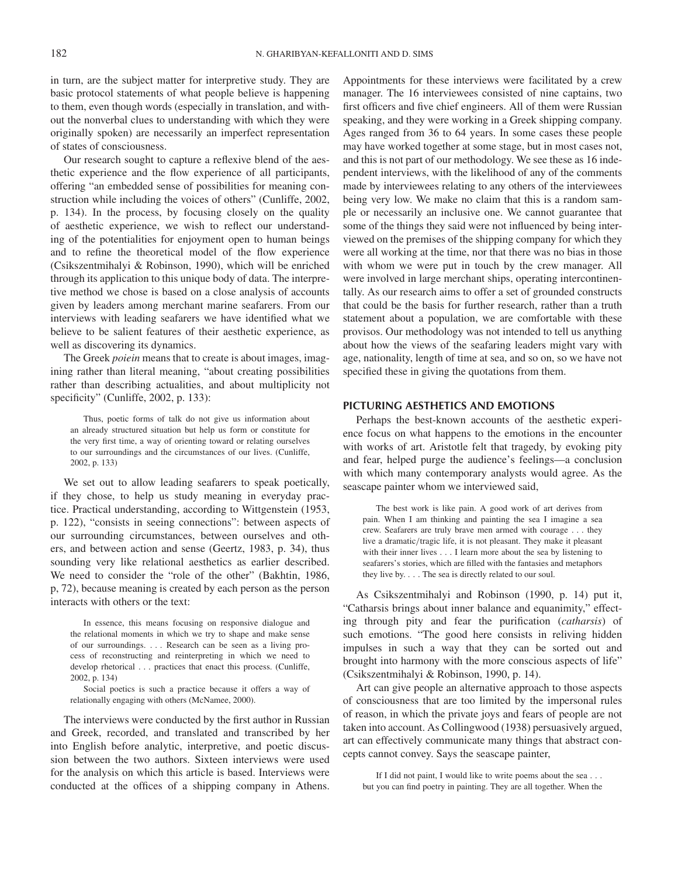in turn, are the subject matter for interpretive study. They are basic protocol statements of what people believe is happening to them, even though words (especially in translation, and without the nonverbal clues to understanding with which they were originally spoken) are necessarily an imperfect representation of states of consciousness.

Our research sought to capture a reflexive blend of the aesthetic experience and the flow experience of all participants, offering "an embedded sense of possibilities for meaning construction while including the voices of others" (Cunliffe, 2002, p. 134). In the process, by focusing closely on the quality of aesthetic experience, we wish to reflect our understanding of the potentialities for enjoyment open to human beings and to refine the theoretical model of the flow experience (Csikszentmihalyi & Robinson, 1990), which will be enriched through its application to this unique body of data. The interpretive method we chose is based on a close analysis of accounts given by leaders among merchant marine seafarers. From our interviews with leading seafarers we have identified what we believe to be salient features of their aesthetic experience, as well as discovering its dynamics.

The Greek *poiein* means that to create is about images, imagining rather than literal meaning, "about creating possibilities rather than describing actualities, and about multiplicity not specificity" (Cunliffe, 2002, p. 133):

Thus, poetic forms of talk do not give us information about an already structured situation but help us form or constitute for the very first time, a way of orienting toward or relating ourselves to our surroundings and the circumstances of our lives. (Cunliffe, 2002, p. 133)

We set out to allow leading seafarers to speak poetically, if they chose, to help us study meaning in everyday practice. Practical understanding, according to Wittgenstein (1953, p. 122), "consists in seeing connections": between aspects of our surrounding circumstances, between ourselves and others, and between action and sense (Geertz, 1983, p. 34), thus sounding very like relational aesthetics as earlier described. We need to consider the "role of the other" (Bakhtin, 1986, p, 72), because meaning is created by each person as the person interacts with others or the text:

In essence, this means focusing on responsive dialogue and the relational moments in which we try to shape and make sense of our surroundings. *...* Research can be seen as a living process of reconstructing and reinterpreting in which we need to develop rhetorical *...* practices that enact this process. (Cunliffe, 2002, p. 134)

Social poetics is such a practice because it offers a way of relationally engaging with others (McNamee, 2000).

The interviews were conducted by the first author in Russian and Greek, recorded, and translated and transcribed by her into English before analytic, interpretive, and poetic discussion between the two authors. Sixteen interviews were used for the analysis on which this article is based. Interviews were conducted at the offices of a shipping company in Athens.

Appointments for these interviews were facilitated by a crew manager. The 16 interviewees consisted of nine captains, two first officers and five chief engineers. All of them were Russian speaking, and they were working in a Greek shipping company. Ages ranged from 36 to 64 years. In some cases these people may have worked together at some stage, but in most cases not, and this is not part of our methodology. We see these as 16 independent interviews, with the likelihood of any of the comments made by interviewees relating to any others of the interviewees being very low. We make no claim that this is a random sample or necessarily an inclusive one. We cannot guarantee that some of the things they said were not influenced by being interviewed on the premises of the shipping company for which they were all working at the time, nor that there was no bias in those with whom we were put in touch by the crew manager. All were involved in large merchant ships, operating intercontinentally. As our research aims to offer a set of grounded constructs that could be the basis for further research, rather than a truth statement about a population, we are comfortable with these provisos. Our methodology was not intended to tell us anything about how the views of the seafaring leaders might vary with age, nationality, length of time at sea, and so on, so we have not specified these in giving the quotations from them.

#### **PICTURING AESTHETICS AND EMOTIONS**

Perhaps the best-known accounts of the aesthetic experience focus on what happens to the emotions in the encounter with works of art. Aristotle felt that tragedy, by evoking pity and fear, helped purge the audience's feelings—a conclusion with which many contemporary analysts would agree. As the seascape painter whom we interviewed said,

The best work is like pain. A good work of art derives from pain. When I am thinking and painting the sea I imagine a sea crew. Seafarers are truly brave men armed with courage *...* they live a dramatic*/*tragic life, it is not pleasant. They make it pleasant with their inner lives *...* I learn more about the sea by listening to seafarers's stories, which are filled with the fantasies and metaphors they live by. *...* The sea is directly related to our soul.

As Csikszentmihalyi and Robinson (1990, p. 14) put it, "Catharsis brings about inner balance and equanimity," effecting through pity and fear the purification (*catharsis*) of such emotions. "The good here consists in reliving hidden impulses in such a way that they can be sorted out and brought into harmony with the more conscious aspects of life" (Csikszentmihalyi & Robinson, 1990, p. 14).

Art can give people an alternative approach to those aspects of consciousness that are too limited by the impersonal rules of reason, in which the private joys and fears of people are not taken into account. As Collingwood (1938) persuasively argued, art can effectively communicate many things that abstract concepts cannot convey. Says the seascape painter,

If I did not paint, I would like to write poems about the sea *...* but you can find poetry in painting. They are all together. When the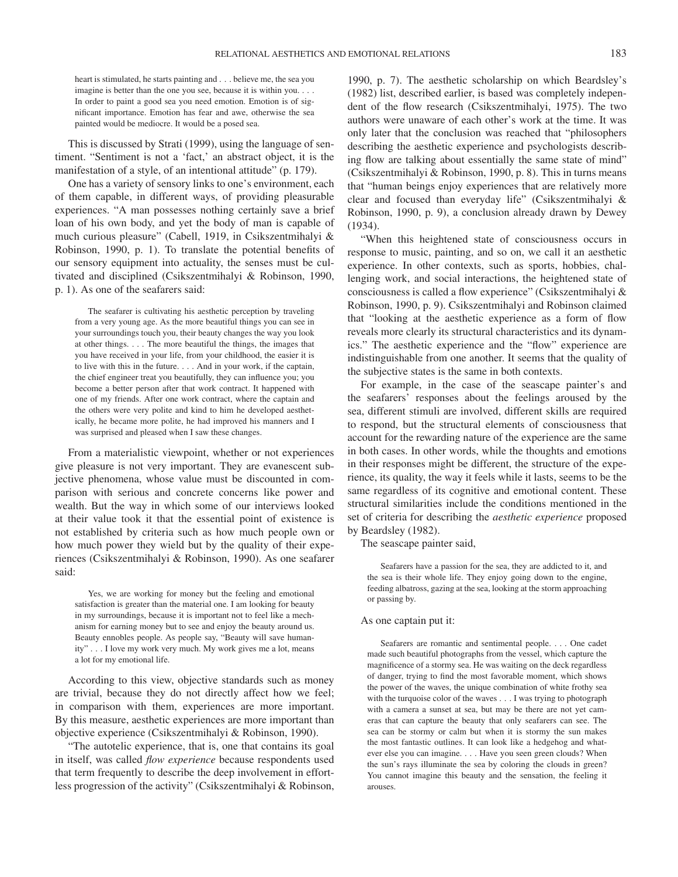heart is stimulated, he starts painting and *...* believe me, the sea you imagine is better than the one you see, because it is within you. *...* In order to paint a good sea you need emotion. Emotion is of significant importance. Emotion has fear and awe, otherwise the sea painted would be mediocre. It would be a posed sea.

This is discussed by Strati (1999), using the language of sentiment. "Sentiment is not a 'fact,' an abstract object, it is the manifestation of a style, of an intentional attitude" (p. 179).

One has a variety of sensory links to one's environment, each of them capable, in different ways, of providing pleasurable experiences. "A man possesses nothing certainly save a brief loan of his own body, and yet the body of man is capable of much curious pleasure" (Cabell, 1919, in Csikszentmihalyi & Robinson, 1990, p. 1). To translate the potential benefits of our sensory equipment into actuality, the senses must be cultivated and disciplined (Csikszentmihalyi & Robinson, 1990, p. 1). As one of the seafarers said:

The seafarer is cultivating his aesthetic perception by traveling from a very young age. As the more beautiful things you can see in your surroundings touch you, their beauty changes the way you look at other things. *...* The more beautiful the things, the images that you have received in your life, from your childhood, the easier it is to live with this in the future. *...* And in your work, if the captain, the chief engineer treat you beautifully, they can influence you; you become a better person after that work contract. It happened with one of my friends. After one work contract, where the captain and the others were very polite and kind to him he developed aesthetically, he became more polite, he had improved his manners and I was surprised and pleased when I saw these changes.

From a materialistic viewpoint, whether or not experiences give pleasure is not very important. They are evanescent subjective phenomena, whose value must be discounted in comparison with serious and concrete concerns like power and wealth. But the way in which some of our interviews looked at their value took it that the essential point of existence is not established by criteria such as how much people own or how much power they wield but by the quality of their experiences (Csikszentmihalyi & Robinson, 1990). As one seafarer said:

Yes, we are working for money but the feeling and emotional satisfaction is greater than the material one. I am looking for beauty in my surroundings, because it is important not to feel like a mechanism for earning money but to see and enjoy the beauty around us. Beauty ennobles people. As people say, "Beauty will save humanity" *...* I love my work very much. My work gives me a lot, means a lot for my emotional life.

According to this view, objective standards such as money are trivial, because they do not directly affect how we feel; in comparison with them, experiences are more important. By this measure, aesthetic experiences are more important than objective experience (Csikszentmihalyi & Robinson, 1990).

"The autotelic experience, that is, one that contains its goal in itself, was called *flow experience* because respondents used that term frequently to describe the deep involvement in effortless progression of the activity" (Csikszentmihalyi & Robinson,

1990, p. 7). The aesthetic scholarship on which Beardsley's (1982) list, described earlier, is based was completely independent of the flow research (Csikszentmihalyi, 1975). The two authors were unaware of each other's work at the time. It was only later that the conclusion was reached that "philosophers describing the aesthetic experience and psychologists describing flow are talking about essentially the same state of mind" (Csikszentmihalyi & Robinson, 1990, p. 8). This in turns means that "human beings enjoy experiences that are relatively more clear and focused than everyday life" (Csikszentmihalyi & Robinson, 1990, p. 9), a conclusion already drawn by Dewey (1934).

"When this heightened state of consciousness occurs in response to music, painting, and so on, we call it an aesthetic experience. In other contexts, such as sports, hobbies, challenging work, and social interactions, the heightened state of consciousness is called a flow experience" (Csikszentmihalyi & Robinson, 1990, p. 9). Csikszentmihalyi and Robinson claimed that "looking at the aesthetic experience as a form of flow reveals more clearly its structural characteristics and its dynamics." The aesthetic experience and the "flow" experience are indistinguishable from one another. It seems that the quality of the subjective states is the same in both contexts.

For example, in the case of the seascape painter's and the seafarers' responses about the feelings aroused by the sea, different stimuli are involved, different skills are required to respond, but the structural elements of consciousness that account for the rewarding nature of the experience are the same in both cases. In other words, while the thoughts and emotions in their responses might be different, the structure of the experience, its quality, the way it feels while it lasts, seems to be the same regardless of its cognitive and emotional content. These structural similarities include the conditions mentioned in the set of criteria for describing the *aesthetic experience* proposed by Beardsley (1982).

The seascape painter said,

Seafarers have a passion for the sea, they are addicted to it, and the sea is their whole life. They enjoy going down to the engine, feeding albatross, gazing at the sea, looking at the storm approaching or passing by.

#### As one captain put it:

Seafarers are romantic and sentimental people. *...* One cadet made such beautiful photographs from the vessel, which capture the magnificence of a stormy sea. He was waiting on the deck regardless of danger, trying to find the most favorable moment, which shows the power of the waves, the unique combination of white frothy sea with the turquoise color of the waves *...* I was trying to photograph with a camera a sunset at sea, but may be there are not yet cameras that can capture the beauty that only seafarers can see. The sea can be stormy or calm but when it is stormy the sun makes the most fantastic outlines. It can look like a hedgehog and whatever else you can imagine. *...* Have you seen green clouds? When the sun's rays illuminate the sea by coloring the clouds in green? You cannot imagine this beauty and the sensation, the feeling it arouses.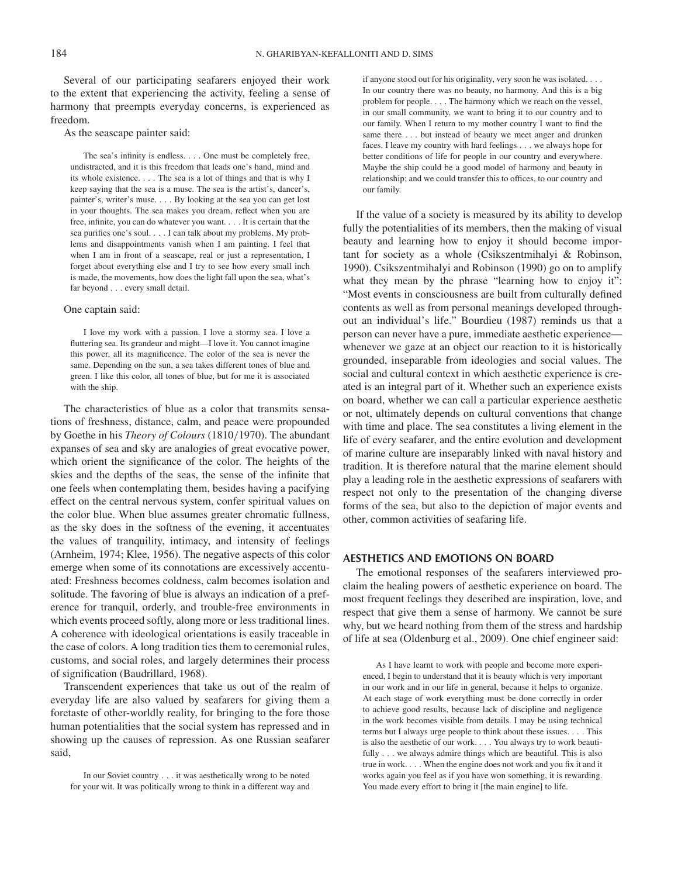Several of our participating seafarers enjoyed their work to the extent that experiencing the activity, feeling a sense of harmony that preempts everyday concerns, is experienced as freedom.

As the seascape painter said:

The sea's infinity is endless. *...* One must be completely free, undistracted, and it is this freedom that leads one's hand, mind and its whole existence. *...* The sea is a lot of things and that is why I keep saying that the sea is a muse. The sea is the artist's, dancer's, painter's, writer's muse. *...* By looking at the sea you can get lost in your thoughts. The sea makes you dream, reflect when you are free, infinite, you can do whatever you want. *...* It is certain that the sea purifies one's soul. *...* I can talk about my problems. My problems and disappointments vanish when I am painting. I feel that when I am in front of a seascape, real or just a representation, I forget about everything else and I try to see how every small inch is made, the movements, how does the light fall upon the sea, what's far beyond *...* every small detail.

#### One captain said:

I love my work with a passion. I love a stormy sea. I love a fluttering sea. Its grandeur and might—I love it. You cannot imagine this power, all its magnificence. The color of the sea is never the same. Depending on the sun, a sea takes different tones of blue and green. I like this color, all tones of blue, but for me it is associated with the ship.

The characteristics of blue as a color that transmits sensations of freshness, distance, calm, and peace were propounded by Goethe in his *Theory of Colours* (1810*/*1970). The abundant expanses of sea and sky are analogies of great evocative power, which orient the significance of the color. The heights of the skies and the depths of the seas, the sense of the infinite that one feels when contemplating them, besides having a pacifying effect on the central nervous system, confer spiritual values on the color blue. When blue assumes greater chromatic fullness, as the sky does in the softness of the evening, it accentuates the values of tranquility, intimacy, and intensity of feelings (Arnheim, 1974; Klee, 1956). The negative aspects of this color emerge when some of its connotations are excessively accentuated: Freshness becomes coldness, calm becomes isolation and solitude. The favoring of blue is always an indication of a preference for tranquil, orderly, and trouble-free environments in which events proceed softly, along more or less traditional lines. A coherence with ideological orientations is easily traceable in the case of colors. A long tradition ties them to ceremonial rules, customs, and social roles, and largely determines their process of signification (Baudrillard, 1968).

Transcendent experiences that take us out of the realm of everyday life are also valued by seafarers for giving them a foretaste of other-worldly reality, for bringing to the fore those human potentialities that the social system has repressed and in showing up the causes of repression. As one Russian seafarer said,

In our Soviet country *...* it was aesthetically wrong to be noted for your wit. It was politically wrong to think in a different way and

if anyone stood out for his originality, very soon he was isolated. *...* In our country there was no beauty, no harmony. And this is a big problem for people. *...* The harmony which we reach on the vessel, in our small community, we want to bring it to our country and to our family. When I return to my mother country I want to find the same there *...* but instead of beauty we meet anger and drunken faces. I leave my country with hard feelings *...* we always hope for better conditions of life for people in our country and everywhere. Maybe the ship could be a good model of harmony and beauty in relationship; and we could transfer this to offices, to our country and our family.

If the value of a society is measured by its ability to develop fully the potentialities of its members, then the making of visual beauty and learning how to enjoy it should become important for society as a whole (Csikszentmihalyi & Robinson, 1990). Csikszentmihalyi and Robinson (1990) go on to amplify what they mean by the phrase "learning how to enjoy it": "Most events in consciousness are built from culturally defined contents as well as from personal meanings developed throughout an individual's life." Bourdieu (1987) reminds us that a person can never have a pure, immediate aesthetic experience whenever we gaze at an object our reaction to it is historically grounded, inseparable from ideologies and social values. The social and cultural context in which aesthetic experience is created is an integral part of it. Whether such an experience exists on board, whether we can call a particular experience aesthetic or not, ultimately depends on cultural conventions that change with time and place. The sea constitutes a living element in the life of every seafarer, and the entire evolution and development of marine culture are inseparably linked with naval history and tradition. It is therefore natural that the marine element should play a leading role in the aesthetic expressions of seafarers with respect not only to the presentation of the changing diverse forms of the sea, but also to the depiction of major events and other, common activities of seafaring life.

#### **AESTHETICS AND EMOTIONS ON BOARD**

The emotional responses of the seafarers interviewed proclaim the healing powers of aesthetic experience on board. The most frequent feelings they described are inspiration, love, and respect that give them a sense of harmony. We cannot be sure why, but we heard nothing from them of the stress and hardship of life at sea (Oldenburg et al., 2009). One chief engineer said:

As I have learnt to work with people and become more experienced, I begin to understand that it is beauty which is very important in our work and in our life in general, because it helps to organize. At each stage of work everything must be done correctly in order to achieve good results, because lack of discipline and negligence in the work becomes visible from details. I may be using technical terms but I always urge people to think about these issues. *...* This is also the aesthetic of our work. *...* You always try to work beautifully *...* we always admire things which are beautiful. This is also true in work. *...* When the engine does not work and you fix it and it works again you feel as if you have won something, it is rewarding. You made every effort to bring it [the main engine] to life.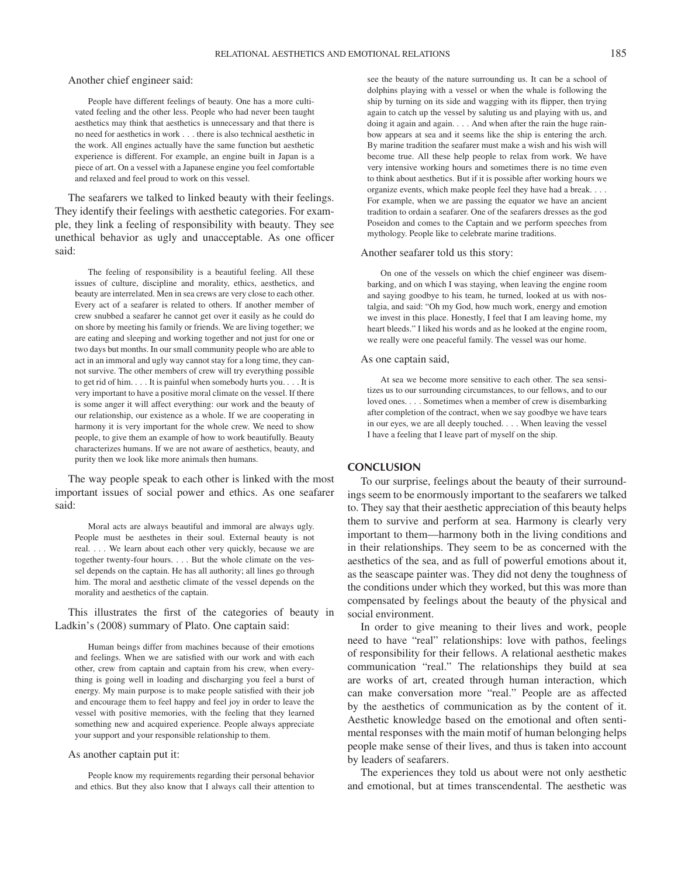Another chief engineer said:

People have different feelings of beauty. One has a more cultivated feeling and the other less. People who had never been taught aesthetics may think that aesthetics is unnecessary and that there is no need for aesthetics in work *...* there is also technical aesthetic in the work. All engines actually have the same function but aesthetic experience is different. For example, an engine built in Japan is a piece of art. On a vessel with a Japanese engine you feel comfortable and relaxed and feel proud to work on this vessel.

The seafarers we talked to linked beauty with their feelings. They identify their feelings with aesthetic categories. For example, they link a feeling of responsibility with beauty. They see unethical behavior as ugly and unacceptable. As one officer said:

The feeling of responsibility is a beautiful feeling. All these issues of culture, discipline and morality, ethics, aesthetics, and beauty are interrelated. Men in sea crews are very close to each other. Every act of a seafarer is related to others. If another member of crew snubbed a seafarer he cannot get over it easily as he could do on shore by meeting his family or friends. We are living together; we are eating and sleeping and working together and not just for one or two days but months. In our small community people who are able to act in an immoral and ugly way cannot stay for a long time, they cannot survive. The other members of crew will try everything possible to get rid of him. *...* It is painful when somebody hurts you. *...* It is very important to have a positive moral climate on the vessel. If there is some anger it will affect everything: our work and the beauty of our relationship, our existence as a whole. If we are cooperating in harmony it is very important for the whole crew. We need to show people, to give them an example of how to work beautifully. Beauty characterizes humans. If we are not aware of aesthetics, beauty, and purity then we look like more animals then humans.

The way people speak to each other is linked with the most important issues of social power and ethics. As one seafarer said:

Moral acts are always beautiful and immoral are always ugly. People must be aesthetes in their soul. External beauty is not real. *...* We learn about each other very quickly, because we are together twenty-four hours. *...* But the whole climate on the vessel depends on the captain. He has all authority; all lines go through him. The moral and aesthetic climate of the vessel depends on the morality and aesthetics of the captain.

This illustrates the first of the categories of beauty in Ladkin's (2008) summary of Plato. One captain said:

Human beings differ from machines because of their emotions and feelings. When we are satisfied with our work and with each other, crew from captain and captain from his crew, when everything is going well in loading and discharging you feel a burst of energy. My main purpose is to make people satisfied with their job and encourage them to feel happy and feel joy in order to leave the vessel with positive memories, with the feeling that they learned something new and acquired experience. People always appreciate your support and your responsible relationship to them.

As another captain put it:

People know my requirements regarding their personal behavior and ethics. But they also know that I always call their attention to

see the beauty of the nature surrounding us. It can be a school of dolphins playing with a vessel or when the whale is following the ship by turning on its side and wagging with its flipper, then trying again to catch up the vessel by saluting us and playing with us, and doing it again and again. *...* And when after the rain the huge rainbow appears at sea and it seems like the ship is entering the arch. By marine tradition the seafarer must make a wish and his wish will become true. All these help people to relax from work. We have very intensive working hours and sometimes there is no time even to think about aesthetics. But if it is possible after working hours we organize events, which make people feel they have had a break. *...* For example, when we are passing the equator we have an ancient tradition to ordain a seafarer. One of the seafarers dresses as the god Poseidon and comes to the Captain and we perform speeches from mythology. People like to celebrate marine traditions.

#### Another seafarer told us this story:

On one of the vessels on which the chief engineer was disembarking, and on which I was staying, when leaving the engine room and saying goodbye to his team, he turned, looked at us with nostalgia, and said: "Oh my God, how much work, energy and emotion we invest in this place. Honestly, I feel that I am leaving home, my heart bleeds." I liked his words and as he looked at the engine room, we really were one peaceful family. The vessel was our home.

#### As one captain said,

At sea we become more sensitive to each other. The sea sensitizes us to our surrounding circumstances, to our fellows, and to our loved ones. *...* Sometimes when a member of crew is disembarking after completion of the contract, when we say goodbye we have tears in our eyes, we are all deeply touched. *...* When leaving the vessel I have a feeling that I leave part of myself on the ship.

#### **CONCLUSION**

To our surprise, feelings about the beauty of their surroundings seem to be enormously important to the seafarers we talked to. They say that their aesthetic appreciation of this beauty helps them to survive and perform at sea. Harmony is clearly very important to them—harmony both in the living conditions and in their relationships. They seem to be as concerned with the aesthetics of the sea, and as full of powerful emotions about it, as the seascape painter was. They did not deny the toughness of the conditions under which they worked, but this was more than compensated by feelings about the beauty of the physical and social environment.

In order to give meaning to their lives and work, people need to have "real" relationships: love with pathos, feelings of responsibility for their fellows. A relational aesthetic makes communication "real." The relationships they build at sea are works of art, created through human interaction, which can make conversation more "real." People are as affected by the aesthetics of communication as by the content of it. Aesthetic knowledge based on the emotional and often sentimental responses with the main motif of human belonging helps people make sense of their lives, and thus is taken into account by leaders of seafarers.

The experiences they told us about were not only aesthetic and emotional, but at times transcendental. The aesthetic was